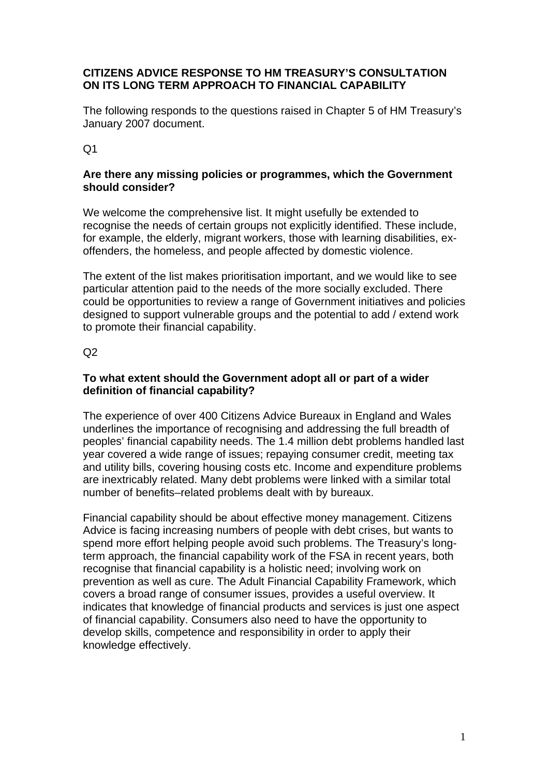### **CITIZENS ADVICE RESPONSE TO HM TREASURY'S CONSULTATION ON ITS LONG TERM APPROACH TO FINANCIAL CAPABILITY**

The following responds to the questions raised in Chapter 5 of HM Treasury's January 2007 document.

Q1

## **Are there any missing policies or programmes, which the Government should consider?**

We welcome the comprehensive list. It might usefully be extended to recognise the needs of certain groups not explicitly identified. These include, for example, the elderly, migrant workers, those with learning disabilities, exoffenders, the homeless, and people affected by domestic violence.

The extent of the list makes prioritisation important, and we would like to see particular attention paid to the needs of the more socially excluded. There could be opportunities to review a range of Government initiatives and policies designed to support vulnerable groups and the potential to add / extend work to promote their financial capability.

 $Q<sub>2</sub>$ 

### **To what extent should the Government adopt all or part of a wider definition of financial capability?**

The experience of over 400 Citizens Advice Bureaux in England and Wales underlines the importance of recognising and addressing the full breadth of peoples' financial capability needs. The 1.4 million debt problems handled last year covered a wide range of issues; repaying consumer credit, meeting tax and utility bills, covering housing costs etc. Income and expenditure problems are inextricably related. Many debt problems were linked with a similar total number of benefits–related problems dealt with by bureaux.

Financial capability should be about effective money management. Citizens Advice is facing increasing numbers of people with debt crises, but wants to spend more effort helping people avoid such problems. The Treasury's longterm approach, the financial capability work of the FSA in recent years, both recognise that financial capability is a holistic need; involving work on prevention as well as cure. The Adult Financial Capability Framework, which covers a broad range of consumer issues, provides a useful overview. It indicates that knowledge of financial products and services is just one aspect of financial capability. Consumers also need to have the opportunity to develop skills, competence and responsibility in order to apply their knowledge effectively.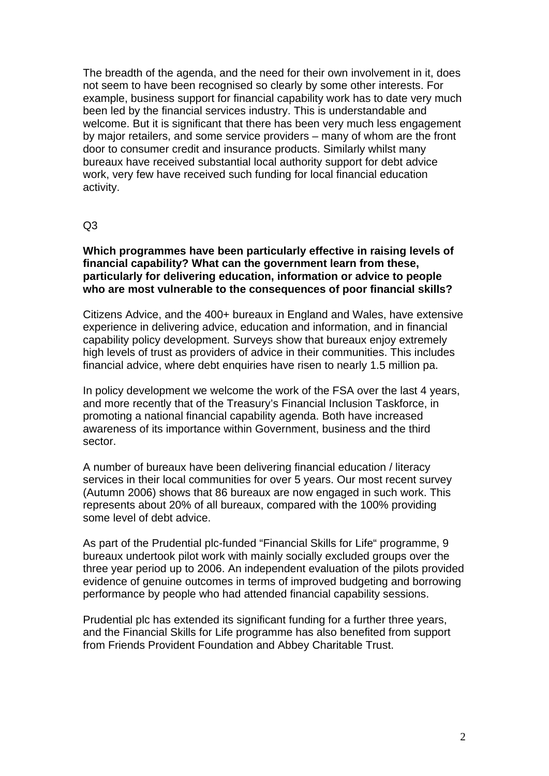The breadth of the agenda, and the need for their own involvement in it, does not seem to have been recognised so clearly by some other interests. For example, business support for financial capability work has to date very much been led by the financial services industry. This is understandable and welcome. But it is significant that there has been very much less engagement by major retailers, and some service providers – many of whom are the front door to consumer credit and insurance products. Similarly whilst many bureaux have received substantial local authority support for debt advice work, very few have received such funding for local financial education activity.

#### Q3

#### **Which programmes have been particularly effective in raising levels of financial capability? What can the government learn from these, particularly for delivering education, information or advice to people who are most vulnerable to the consequences of poor financial skills?**

Citizens Advice, and the 400+ bureaux in England and Wales, have extensive experience in delivering advice, education and information, and in financial capability policy development. Surveys show that bureaux enjoy extremely high levels of trust as providers of advice in their communities. This includes financial advice, where debt enquiries have risen to nearly 1.5 million pa.

In policy development we welcome the work of the FSA over the last 4 years, and more recently that of the Treasury's Financial Inclusion Taskforce, in promoting a national financial capability agenda. Both have increased awareness of its importance within Government, business and the third sector.

A number of bureaux have been delivering financial education / literacy services in their local communities for over 5 years. Our most recent survey (Autumn 2006) shows that 86 bureaux are now engaged in such work. This represents about 20% of all bureaux, compared with the 100% providing some level of debt advice.

As part of the Prudential plc-funded "Financial Skills for Life" programme, 9 bureaux undertook pilot work with mainly socially excluded groups over the three year period up to 2006. An independent evaluation of the pilots provided evidence of genuine outcomes in terms of improved budgeting and borrowing performance by people who had attended financial capability sessions.

Prudential plc has extended its significant funding for a further three years, and the Financial Skills for Life programme has also benefited from support from Friends Provident Foundation and Abbey Charitable Trust.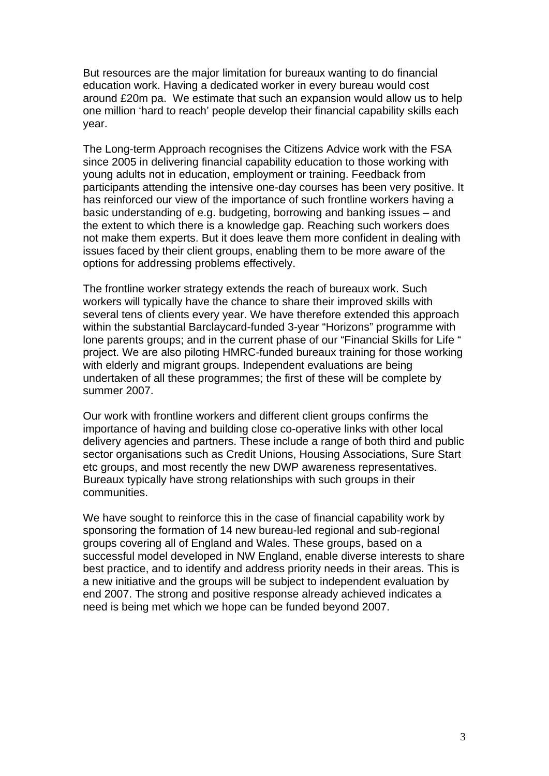But resources are the major limitation for bureaux wanting to do financial education work. Having a dedicated worker in every bureau would cost around £20m pa. We estimate that such an expansion would allow us to help one million 'hard to reach' people develop their financial capability skills each year.

The Long-term Approach recognises the Citizens Advice work with the FSA since 2005 in delivering financial capability education to those working with young adults not in education, employment or training. Feedback from participants attending the intensive one-day courses has been very positive. It has reinforced our view of the importance of such frontline workers having a basic understanding of e.g. budgeting, borrowing and banking issues – and the extent to which there is a knowledge gap. Reaching such workers does not make them experts. But it does leave them more confident in dealing with issues faced by their client groups, enabling them to be more aware of the options for addressing problems effectively.

The frontline worker strategy extends the reach of bureaux work. Such workers will typically have the chance to share their improved skills with several tens of clients every year. We have therefore extended this approach within the substantial Barclaycard-funded 3-year "Horizons" programme with lone parents groups; and in the current phase of our "Financial Skills for Life " project. We are also piloting HMRC-funded bureaux training for those working with elderly and migrant groups. Independent evaluations are being undertaken of all these programmes; the first of these will be complete by summer 2007.

Our work with frontline workers and different client groups confirms the importance of having and building close co-operative links with other local delivery agencies and partners. These include a range of both third and public sector organisations such as Credit Unions, Housing Associations, Sure Start etc groups, and most recently the new DWP awareness representatives. Bureaux typically have strong relationships with such groups in their communities.

We have sought to reinforce this in the case of financial capability work by sponsoring the formation of 14 new bureau-led regional and sub-regional groups covering all of England and Wales. These groups, based on a successful model developed in NW England, enable diverse interests to share best practice, and to identify and address priority needs in their areas. This is a new initiative and the groups will be subject to independent evaluation by end 2007. The strong and positive response already achieved indicates a need is being met which we hope can be funded beyond 2007.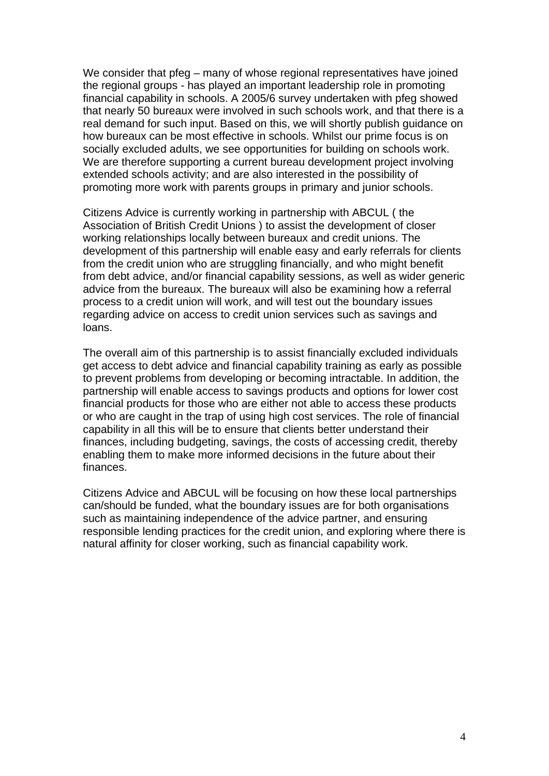We consider that pfeg – many of whose regional representatives have joined the regional groups - has played an important leadership role in promoting financial capability in schools. A 2005/6 survey undertaken with pfeg showed that nearly 50 bureaux were involved in such schools work, and that there is a real demand for such input. Based on this, we will shortly publish guidance on how bureaux can be most effective in schools. Whilst our prime focus is on socially excluded adults, we see opportunities for building on schools work. We are therefore supporting a current bureau development project involving extended schools activity; and are also interested in the possibility of promoting more work with parents groups in primary and junior schools.

Citizens Advice is currently working in partnership with ABCUL ( the Association of British Credit Unions ) to assist the development of closer working relationships locally between bureaux and credit unions. The development of this partnership will enable easy and early referrals for clients from the credit union who are struggling financially, and who might benefit from debt advice, and/or financial capability sessions, as well as wider generic advice from the bureaux. The bureaux will also be examining how a referral process to a credit union will work, and will test out the boundary issues regarding advice on access to credit union services such as savings and loans.

The overall aim of this partnership is to assist financially excluded individuals get access to debt advice and financial capability training as early as possible to prevent problems from developing or becoming intractable. In addition, the partnership will enable access to savings products and options for lower cost financial products for those who are either not able to access these products or who are caught in the trap of using high cost services. The role of financial capability in all this will be to ensure that clients better understand their finances, including budgeting, savings, the costs of accessing credit, thereby enabling them to make more informed decisions in the future about their finances.

Citizens Advice and ABCUL will be focusing on how these local partnerships can/should be funded, what the boundary issues are for both organisations such as maintaining independence of the advice partner, and ensuring responsible lending practices for the credit union, and exploring where there is natural affinity for closer working, such as financial capability work.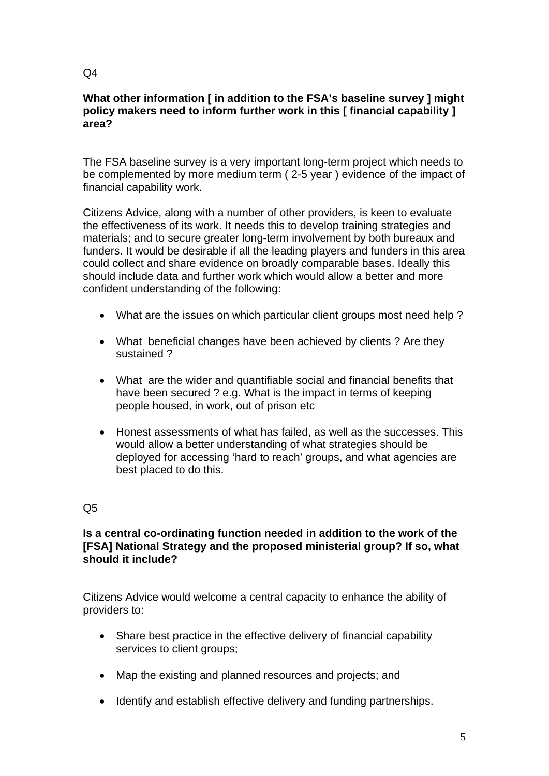### **What other information [ in addition to the FSA's baseline survey ] might policy makers need to inform further work in this [ financial capability ] area?**

The FSA baseline survey is a very important long-term project which needs to be complemented by more medium term ( 2-5 year ) evidence of the impact of financial capability work.

Citizens Advice, along with a number of other providers, is keen to evaluate the effectiveness of its work. It needs this to develop training strategies and materials; and to secure greater long-term involvement by both bureaux and funders. It would be desirable if all the leading players and funders in this area could collect and share evidence on broadly comparable bases. Ideally this should include data and further work which would allow a better and more confident understanding of the following:

- What are the issues on which particular client groups most need help?
- What beneficial changes have been achieved by clients ? Are they sustained ?
- What are the wider and quantifiable social and financial benefits that have been secured ? e.g. What is the impact in terms of keeping people housed, in work, out of prison etc
- Honest assessments of what has failed, as well as the successes. This would allow a better understanding of what strategies should be deployed for accessing 'hard to reach' groups, and what agencies are best placed to do this.

# Q5

### **Is a central co-ordinating function needed in addition to the work of the [FSA] National Strategy and the proposed ministerial group? If so, what should it include?**

Citizens Advice would welcome a central capacity to enhance the ability of providers to:

- Share best practice in the effective delivery of financial capability services to client groups;
- Map the existing and planned resources and projects; and
- Identify and establish effective delivery and funding partnerships.

#### $Q<sub>4</sub>$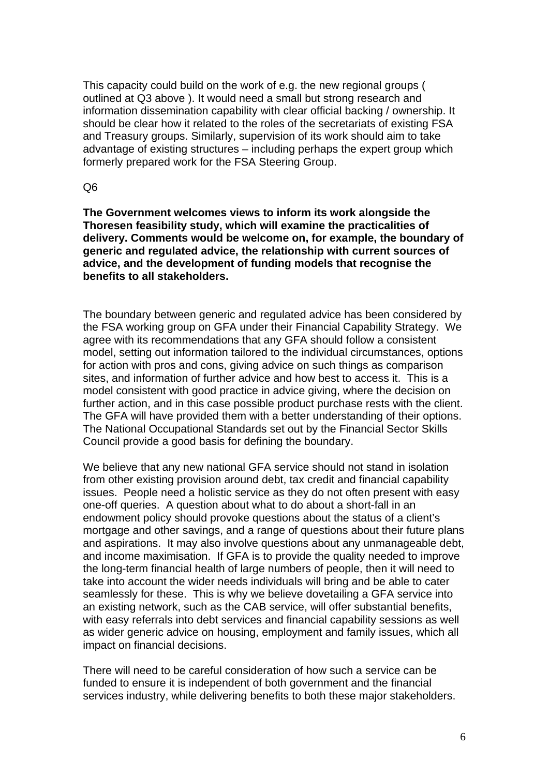This capacity could build on the work of e.g. the new regional groups ( outlined at Q3 above ). It would need a small but strong research and information dissemination capability with clear official backing / ownership. It should be clear how it related to the roles of the secretariats of existing FSA and Treasury groups. Similarly, supervision of its work should aim to take advantage of existing structures – including perhaps the expert group which formerly prepared work for the FSA Steering Group.

Q6

**The Government welcomes views to inform its work alongside the Thoresen feasibility study, which will examine the practicalities of delivery. Comments would be welcome on, for example, the boundary of generic and regulated advice, the relationship with current sources of advice, and the development of funding models that recognise the benefits to all stakeholders.** 

The boundary between generic and regulated advice has been considered by the FSA working group on GFA under their Financial Capability Strategy. We agree with its recommendations that any GFA should follow a consistent model, setting out information tailored to the individual circumstances, options for action with pros and cons, giving advice on such things as comparison sites, and information of further advice and how best to access it. This is a model consistent with good practice in advice giving, where the decision on further action, and in this case possible product purchase rests with the client. The GFA will have provided them with a better understanding of their options. The National Occupational Standards set out by the Financial Sector Skills Council provide a good basis for defining the boundary.

We believe that any new national GFA service should not stand in isolation from other existing provision around debt, tax credit and financial capability issues. People need a holistic service as they do not often present with easy one-off queries. A question about what to do about a short-fall in an endowment policy should provoke questions about the status of a client's mortgage and other savings, and a range of questions about their future plans and aspirations. It may also involve questions about any unmanageable debt, and income maximisation. If GFA is to provide the quality needed to improve the long-term financial health of large numbers of people, then it will need to take into account the wider needs individuals will bring and be able to cater seamlessly for these. This is why we believe dovetailing a GFA service into an existing network, such as the CAB service, will offer substantial benefits, with easy referrals into debt services and financial capability sessions as well as wider generic advice on housing, employment and family issues, which all impact on financial decisions.

There will need to be careful consideration of how such a service can be funded to ensure it is independent of both government and the financial services industry, while delivering benefits to both these major stakeholders.